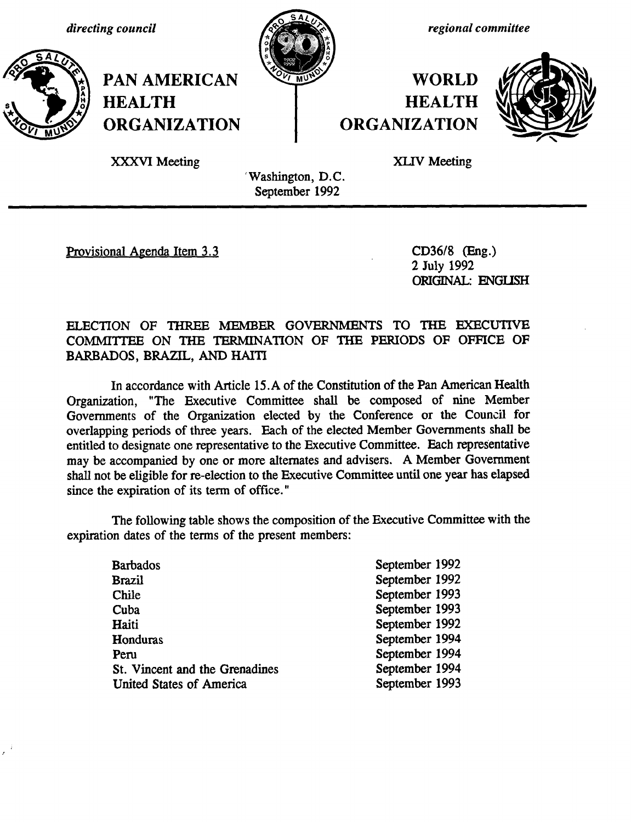*directing council*



*regional committee*

## **WORLD HEALTH ORGANIZATION**



XXXVI Meeting

**HEALTH**

**PAN AMERICAN**

**ORGANIZATION**

XLIV Meeting

'Washington, D.C. September 1992

Provisional Agenda Item 3.3 CD36/8 (Eng.)

2 July 1992 ORIGINAL: ENGIISH

## ELECTION OF THREE MEMBER GOVERNMENTS TO THE EXECUTIVE COMMITTEE ON THE TERMINATION OF THE PERIODS OF OFFICE OF BARBADOS, BRAZIL, AND HAITI

In accordance with Article 15.A of the Constitution of the Pan American Health Organization, "The Executive Committee shall be composed of nine Member Governments of the Organization elected by the Conference or the Council for overlapping periods of three years. Each of the elected Member Governments shall be entitled to designate one representative to the Executive Committee. Each representative may be accompanied by one or more alternates and advisers. A Member Government shall not be eligible for re-election to the Executive Committee until one year has elapsed since the expiration of its term of office."

The following table shows the composition of the Executive Committee with the expiration dates of the terms of the present members:

| September 1992<br>September 1992<br>September 1993<br>September 1993<br>September 1992<br>September 1994<br>September 1994<br>September 1994<br>September 1993 |
|----------------------------------------------------------------------------------------------------------------------------------------------------------------|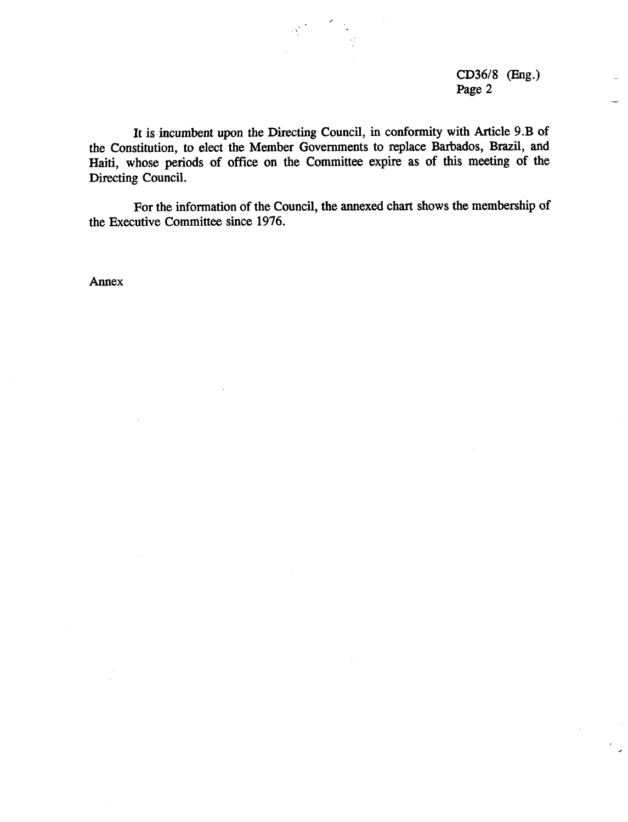CD36/8 (Eng.) Page 2

It is incumbent upon the Directing Council, in conformity with Article 9.B of the Constitution, to elect the Member Governments to replace Barbados, Brazil, and Haiti, whose periods of office on the Committee expire as of this meeting of the Directing Council.

For the information of the Council, the annexed chart shows the membership of the Executive Committee since 1976.

Annex